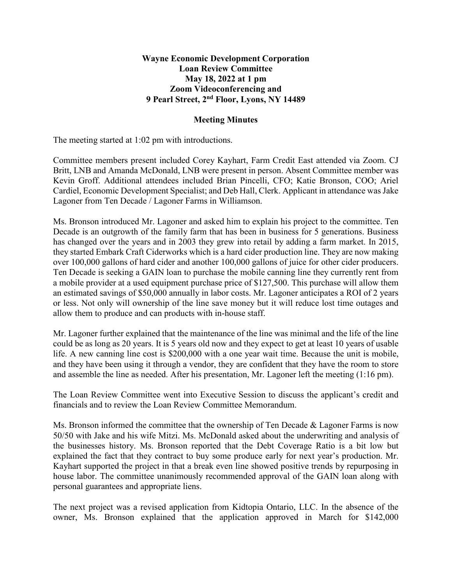## **Wayne Economic Development Corporation Loan Review Committee May 18, 2022 at 1 pm Zoom Videoconferencing and 9 Pearl Street, 2nd Floor, Lyons, NY 14489**

## **Meeting Minutes**

The meeting started at 1:02 pm with introductions.

Committee members present included Corey Kayhart, Farm Credit East attended via Zoom. CJ Britt, LNB and Amanda McDonald, LNB were present in person. Absent Committee member was Kevin Groff. Additional attendees included Brian Pincelli, CFO; Katie Bronson, COO; Ariel Cardiel, Economic Development Specialist; and Deb Hall, Clerk. Applicant in attendance was Jake Lagoner from Ten Decade / Lagoner Farms in Williamson.

Ms. Bronson introduced Mr. Lagoner and asked him to explain his project to the committee. Ten Decade is an outgrowth of the family farm that has been in business for 5 generations. Business has changed over the years and in 2003 they grew into retail by adding a farm market. In 2015, they started Embark Craft Ciderworks which is a hard cider production line. They are now making over 100,000 gallons of hard cider and another 100,000 gallons of juice for other cider producers. Ten Decade is seeking a GAIN loan to purchase the mobile canning line they currently rent from a mobile provider at a used equipment purchase price of \$127,500. This purchase will allow them an estimated savings of \$50,000 annually in labor costs. Mr. Lagoner anticipates a ROI of 2 years or less. Not only will ownership of the line save money but it will reduce lost time outages and allow them to produce and can products with in-house staff.

Mr. Lagoner further explained that the maintenance of the line was minimal and the life of the line could be as long as 20 years. It is 5 years old now and they expect to get at least 10 years of usable life. A new canning line cost is \$200,000 with a one year wait time. Because the unit is mobile, and they have been using it through a vendor, they are confident that they have the room to store and assemble the line as needed. After his presentation, Mr. Lagoner left the meeting (1:16 pm).

The Loan Review Committee went into Executive Session to discuss the applicant's credit and financials and to review the Loan Review Committee Memorandum.

Ms. Bronson informed the committee that the ownership of Ten Decade & Lagoner Farms is now 50/50 with Jake and his wife Mitzi. Ms. McDonald asked about the underwriting and analysis of the businesses history. Ms. Bronson reported that the Debt Coverage Ratio is a bit low but explained the fact that they contract to buy some produce early for next year's production. Mr. Kayhart supported the project in that a break even line showed positive trends by repurposing in house labor. The committee unanimously recommended approval of the GAIN loan along with personal guarantees and appropriate liens.

The next project was a revised application from Kidtopia Ontario, LLC. In the absence of the owner, Ms. Bronson explained that the application approved in March for \$142,000